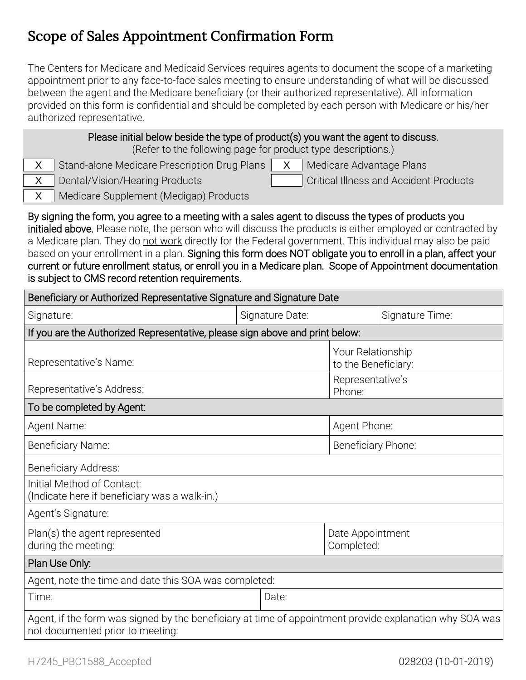# Scope of Sales Appointment Confirmation Form

The Centers for Medicare and Medicaid Services requires agents to document the scope of a marketing appointment prior to any face-to-face sales meeting to ensure understanding of what will be discussed between the agent and the Medicare beneficiary (or their authorized representative). All information provided on this form is confidential and should be completed by each person with Medicare or his/her authorized representative.

| Please initial below beside the type of product(s) you want the agent to discuss.<br>(Refer to the following page for product type descriptions.)<br>Stand-alone Medicare Prescription Drug Plans<br>X<br>Medicare Advantage Plans<br>X.<br><b>Critical Illness and Accident Products</b><br>Dental/Vision/Hearing Products<br>X<br>Medicare Supplement (Medigap) Products<br>X                                                                                                                                                                                                                               |                 |                                          |                 |
|---------------------------------------------------------------------------------------------------------------------------------------------------------------------------------------------------------------------------------------------------------------------------------------------------------------------------------------------------------------------------------------------------------------------------------------------------------------------------------------------------------------------------------------------------------------------------------------------------------------|-----------------|------------------------------------------|-----------------|
| By signing the form, you agree to a meeting with a sales agent to discuss the types of products you<br>initialed above. Please note, the person who will discuss the products is either employed or contracted by<br>a Medicare plan. They do not work directly for the Federal government. This individual may also be paid<br>based on your enrollment in a plan. Signing this form does NOT obligate you to enroll in a plan, affect your<br>current or future enrollment status, or enroll you in a Medicare plan. Scope of Appointment documentation<br>is subject to CMS record retention requirements. |                 |                                          |                 |
| Beneficiary or Authorized Representative Signature and Signature Date                                                                                                                                                                                                                                                                                                                                                                                                                                                                                                                                         |                 |                                          |                 |
| Signature:                                                                                                                                                                                                                                                                                                                                                                                                                                                                                                                                                                                                    | Signature Date: |                                          | Signature Time: |
| If you are the Authorized Representative, please sign above and print below:                                                                                                                                                                                                                                                                                                                                                                                                                                                                                                                                  |                 |                                          |                 |
| Representative's Name:                                                                                                                                                                                                                                                                                                                                                                                                                                                                                                                                                                                        |                 | Your Relationship<br>to the Beneficiary: |                 |
| Representative's Address:                                                                                                                                                                                                                                                                                                                                                                                                                                                                                                                                                                                     |                 | Representative's<br>Phone:               |                 |
| To be completed by Agent:                                                                                                                                                                                                                                                                                                                                                                                                                                                                                                                                                                                     |                 |                                          |                 |
| Agent Name:                                                                                                                                                                                                                                                                                                                                                                                                                                                                                                                                                                                                   |                 | Agent Phone:                             |                 |
| Beneficiary Name:                                                                                                                                                                                                                                                                                                                                                                                                                                                                                                                                                                                             |                 | Beneficiary Phone:                       |                 |
| <b>Beneficiary Address:</b>                                                                                                                                                                                                                                                                                                                                                                                                                                                                                                                                                                                   |                 |                                          |                 |
| Initial Method of Contact:<br>(Indicate here if beneficiary was a walk-in.)                                                                                                                                                                                                                                                                                                                                                                                                                                                                                                                                   |                 |                                          |                 |
| Agent's Signature:                                                                                                                                                                                                                                                                                                                                                                                                                                                                                                                                                                                            |                 |                                          |                 |
| Plan(s) the agent represented<br>during the meeting:                                                                                                                                                                                                                                                                                                                                                                                                                                                                                                                                                          |                 | Date Appointment<br>Completed:           |                 |
| Plan Use Only:                                                                                                                                                                                                                                                                                                                                                                                                                                                                                                                                                                                                |                 |                                          |                 |
| Agent, note the time and date this SOA was completed:                                                                                                                                                                                                                                                                                                                                                                                                                                                                                                                                                         |                 |                                          |                 |
| Time:                                                                                                                                                                                                                                                                                                                                                                                                                                                                                                                                                                                                         | Date:           |                                          |                 |
| Agent, if the form was signed by the beneficiary at time of appointment provide explanation why SOA was<br>not documented prior to meeting:                                                                                                                                                                                                                                                                                                                                                                                                                                                                   |                 |                                          |                 |